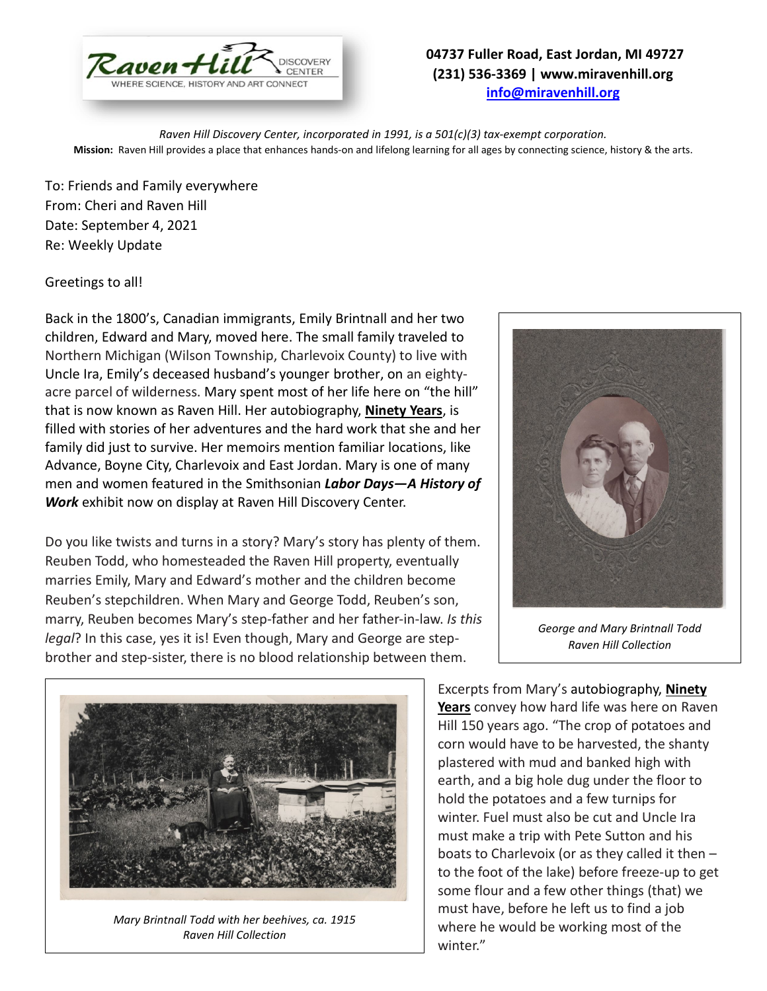

## **04737 Fuller Road, East Jordan, MI 49727 (231) 536-3369 | www.miravenhill.org [info@miravenhill.org](mailto:info@miravenhill.org)**

*Raven Hill Discovery Center, incorporated in 1991, is a 501(c)(3) tax-exempt corporation.* **Mission:** Raven Hill provides a place that enhances hands-on and lifelong learning for all ages by connecting science, history & the arts.

To: Friends and Family everywhere From: Cheri and Raven Hill Date: September 4, 2021 Re: Weekly Update

Greetings to all!

Back in the 1800's, Canadian immigrants, Emily Brintnall and her two children, Edward and Mary, moved here. The small family traveled to Northern Michigan (Wilson Township, Charlevoix County) to live with Uncle Ira, Emily's deceased husband's younger brother, on an eightyacre parcel of wilderness. Mary spent most of her life here on "the hill" that is now known as Raven Hill. Her autobiography, **Ninety Years**, is filled with stories of her adventures and the hard work that she and her family did just to survive. Her memoirs mention familiar locations, like Advance, Boyne City, Charlevoix and East Jordan. Mary is one of many men and women featured in the Smithsonian *Labor Days—A History of Work* exhibit now on display at Raven Hill Discovery Center.

Do you like twists and turns in a story? Mary's story has plenty of them. Reuben Todd, who homesteaded the Raven Hill property, eventually marries Emily, Mary and Edward's mother and the children become Reuben's stepchildren. When Mary and George Todd, Reuben's son, marry, Reuben becomes Mary's step-father and her father-in-law. *Is this legal*? In this case, yes it is! Even though, Mary and George are stepbrother and step-sister, there is no blood relationship between them.



*George and Mary Brintnall Todd Raven Hill Collection*



*Mary Brintnall Todd with her beehives, ca. 1915 Raven Hill Collection*

Excerpts from Mary's autobiography, **Ninety Years** convey how hard life was here on Raven Hill 150 years ago. "The crop of potatoes and corn would have to be harvested, the shanty plastered with mud and banked high with earth, and a big hole dug under the floor to hold the potatoes and a few turnips for winter. Fuel must also be cut and Uncle Ira must make a trip with Pete Sutton and his boats to Charlevoix (or as they called it then – to the foot of the lake) before freeze-up to get some flour and a few other things (that) we must have, before he left us to find a job where he would be working most of the winter."